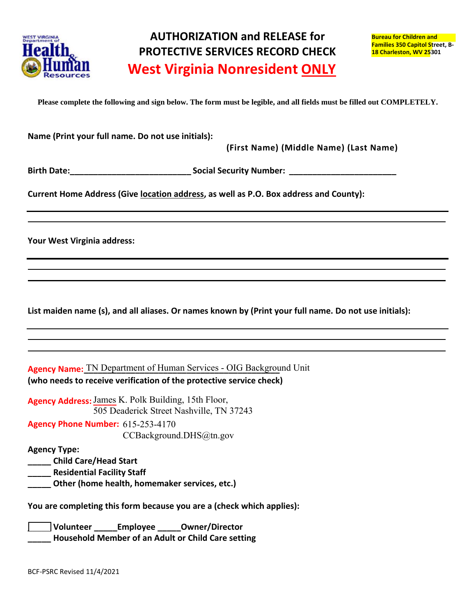

÷,

**Please complete the following and sign below. The form must be legible, and all fields must be filled out COMPLETELY.** 

| Name (Print your full name. Do not use initials):<br>(First Name) (Middle Name) (Last Name)                                               |
|-------------------------------------------------------------------------------------------------------------------------------------------|
|                                                                                                                                           |
| Current Home Address (Give location address, as well as P.O. Box address and County):                                                     |
| Your West Virginia address:                                                                                                               |
|                                                                                                                                           |
| List maiden name (s), and all aliases. Or names known by (Print your full name. Do not use initials):                                     |
|                                                                                                                                           |
| Agency Name: TN Department of Human Services - OIG Background Unit<br>(who needs to receive verification of the protective service check) |
| Agency Address: James K. Polk Building, 15th Floor,<br>505 Deaderick Street Nashville, TN 37243                                           |
| Agency Phone Number: 615-253-4170<br>CCBackground.DHS@tn.gov                                                                              |
| <b>Agency Type:</b><br><b>Child Care/Head Start</b><br><b>Residential Facility Staff</b><br>Other (home health, homemaker services, etc.) |
| You are completing this form because you are a (check which applies):                                                                     |
| Volunteer Employee Owner/Director<br>Household Member of an Adult or Child Care setting                                                   |